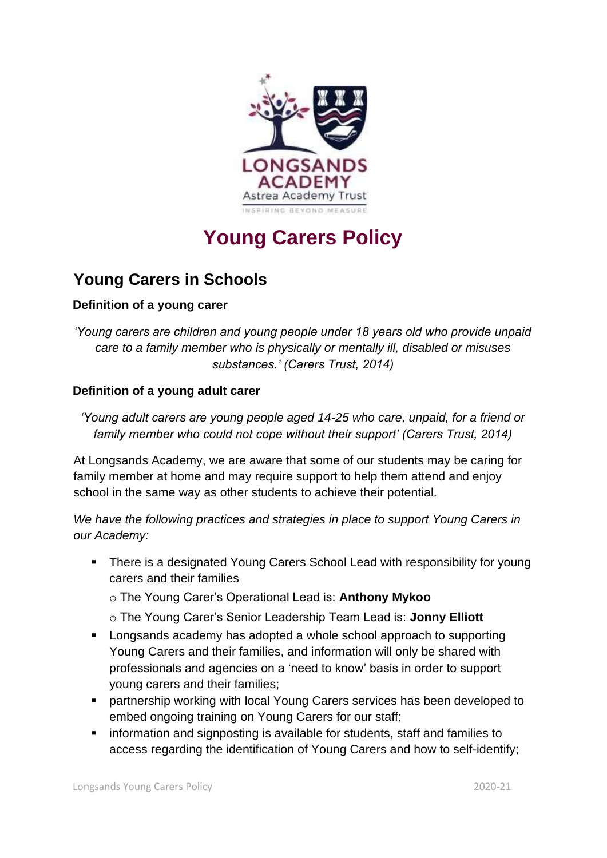

## **Young Carers Policy**

## **Young Carers in Schools**

## **Definition of a young carer**

*'Young carers are children and young people under 18 years old who provide unpaid care to a family member who is physically or mentally ill, disabled or misuses substances.' (Carers Trust, 2014)* 

## **Definition of a young adult carer**

*'Young adult carers are young people aged 14-25 who care, unpaid, for a friend or family member who could not cope without their support' (Carers Trust, 2014)* 

At Longsands Academy, we are aware that some of our students may be caring for family member at home and may require support to help them attend and enjoy school in the same way as other students to achieve their potential.

*We have the following practices and strategies in place to support Young Carers in our Academy:* 

- There is a designated Young Carers School Lead with responsibility for young carers and their families
	- o The Young Carer's Operational Lead is: **Anthony Mykoo**
	- o The Young Carer's Senior Leadership Team Lead is: **Jonny Elliott**
- Longsands academy has adopted a whole school approach to supporting Young Carers and their families, and information will only be shared with professionals and agencies on a 'need to know' basis in order to support young carers and their families;
- partnership working with local Young Carers services has been developed to embed ongoing training on Young Carers for our staff;
- information and signposting is available for students, staff and families to access regarding the identification of Young Carers and how to self-identify;